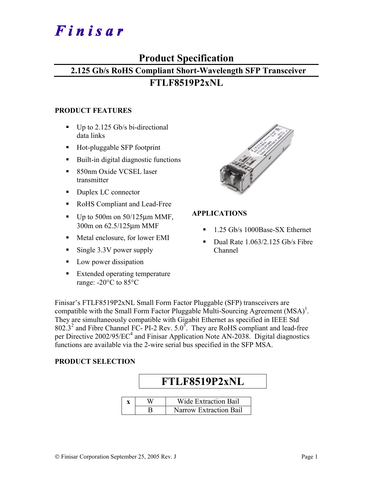# Finisar

# **Product Specification**

# **2.125 Gb/s RoHS Compliant Short-Wavelength SFP Transceiver**

# **FTLF8519P2xNL**

### **PRODUCT FEATURES**

- $\blacksquare$  Up to 2.125 Gb/s bi-directional data links
- Hot-pluggable SFP footprint
- Built-in digital diagnostic functions
- 850nm Oxide VCSEL laser transmitter
- Duplex LC connector
- RoHS Compliant and Lead-Free
- $\blacksquare$  Up to 500m on 50/125 $\mu$ m MMF, 300m on 62.5/125µm MMF
- Metal enclosure, for lower EMI
- Single 3.3V power supply
- **Low power dissipation**
- **Extended operating temperature** range: -20°C to 85°C



# **APPLICATIONS**

- 1.25 Gb/s 1000Base-SX Ethernet
- Dual Rate  $1.063/2.125$  Gb/s Fibre Channel

Finisar's FTLF8519P2xNL Small Form Factor Pluggable (SFP) transceivers are compatible with the Small Form Factor Pluggable Multi-Sourcing Agreement  $(MSA)^{1}$ . They are simultaneously compatible with Gigabit Ethernet as specified in IEEE Std  $802.3<sup>2</sup>$  and Fibre Channel FC- PI-2 Rev.  $5.0<sup>3</sup>$ . They are RoHS compliant and lead-free per Directive 2002/95/EC<sup>4</sup> and Finisar Application Note AN-2038. Digital diagnostics functions are available via the 2-wire serial bus specified in the SFP MSA.

# **PRODUCT SELECTION**

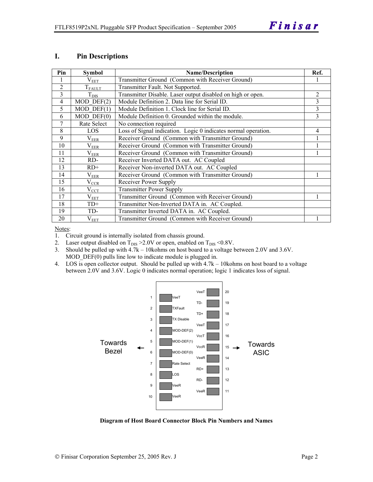#### **I. Pin Descriptions**

| Pin            | <b>Symbol</b>    | <b>Name/Description</b>                                        | Ref.           |
|----------------|------------------|----------------------------------------------------------------|----------------|
|                | $V_{EET}$        | Transmitter Ground (Common with Receiver Ground)               |                |
| $\overline{2}$ | $T_{FAULT}$      | Transmitter Fault. Not Supported.                              |                |
| 3              | $T_{\text{DIS}}$ | Transmitter Disable. Laser output disabled on high or open.    | $\overline{2}$ |
| 4              | $MOD$ DEF $(2)$  | Module Definition 2. Data line for Serial ID.                  | 3              |
| 5              | $MOD$ DEF $(1)$  | Module Definition 1. Clock line for Serial ID.                 | 3              |
| 6              | $MOD$ $DEF(0)$   | Module Definition 0. Grounded within the module.               | 3              |
| 7              | Rate Select      | No connection required                                         |                |
| 8              | LOS              | Loss of Signal indication. Logic 0 indicates normal operation. | 4              |
| 9              | $\rm V_{EER}$    | Receiver Ground (Common with Transmitter Ground)               |                |
| 10             | $\rm V_{EER}$    | Receiver Ground (Common with Transmitter Ground)               |                |
| 11             | $\rm V_{EER}$    | Receiver Ground (Common with Transmitter Ground)               |                |
| 12             | RD-              | Receiver Inverted DATA out. AC Coupled                         |                |
| 13             | $RD+$            | Receiver Non-inverted DATA out. AC Coupled                     |                |
| 14             | $\rm V_{EER}$    | Receiver Ground (Common with Transmitter Ground)               |                |
| 15             | $\rm V_{CCR}$    | Receiver Power Supply                                          |                |
| 16             | $V_{\rm CCT}$    | <b>Transmitter Power Supply</b>                                |                |
| 17             | $\rm V_{EET}$    | Transmitter Ground (Common with Receiver Ground)               |                |
| 18             | $TD+$            | Transmitter Non-Inverted DATA in. AC Coupled.                  |                |
| 19             | TD-              | Transmitter Inverted DATA in. AC Coupled.                      |                |
| 20             | $V_{EET}$        | Transmitter Ground (Common with Receiver Ground)               |                |

Notes:

1. Circuit ground is internally isolated from chassis ground.

2. Laser output disabled on  $T_{DIS} > 2.0V$  or open, enabled on  $T_{DIS} < 0.8V$ .

3. Should be pulled up with 4.7k – 10kohms on host board to a voltage between 2.0V and 3.6V. MOD  $DEF(0)$  pulls line low to indicate module is plugged in.

4. LOS is open collector output. Should be pulled up with 4.7k – 10kohms on host board to a voltage between 2.0V and 3.6V. Logic 0 indicates normal operation; logic 1 indicates loss of signal.



**Diagram of Host Board Connector Block Pin Numbers and Names**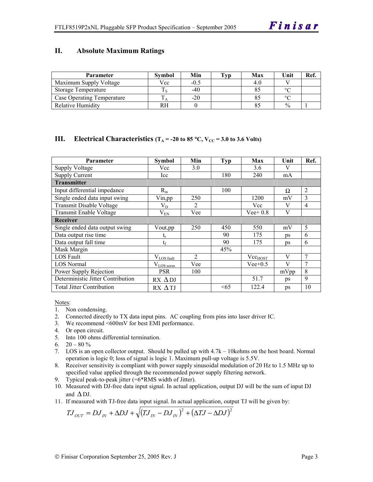#### **II. Absolute Maximum Ratings**

| <b>Parameter</b>           | Svmbol | Min    | Typ | Max | Unit          | Ref |
|----------------------------|--------|--------|-----|-----|---------------|-----|
| Maximum Supply Voltage     | Vcc    | $-0.5$ |     |     |               |     |
| Storage Temperature        |        | -40    |     |     | $\circ$       |     |
| Case Operating Temperature |        | $-20$  |     |     | $\circ$       |     |
| <b>Relative Humidity</b>   | RН     |        |     |     | $\frac{0}{0}$ |     |

### **III.** Electrical Characteristics ( $T_A = -20$  to 85 °C,  $V_{CC} = 3.0$  to 3.6 Volts)

| <b>Parameter</b>                  | Symbol          | Min            | <b>Typ</b> | Max          | Unit | Ref.           |
|-----------------------------------|-----------------|----------------|------------|--------------|------|----------------|
| <b>Supply Voltage</b>             | Vcc             | 3.0            |            | 3.6          | V    |                |
| <b>Supply Current</b>             | Icc             |                | 180        | 240          | mA   |                |
| <b>Transmitter</b>                |                 |                |            |              |      |                |
| Input differential impedance      | $R_{in}$        |                | 100        |              | Ω    | 2              |
| Single ended data input swing     | $V$ in, pp      | 250            |            | 1200         | mV   | 3              |
| Transmit Disable Voltage          | $V_D$           | 2              |            | Vcc          | V    | $\overline{4}$ |
| <b>Transmit Enable Voltage</b>    | $V_{EN}$        | Vee            |            | $Vee+0.8$    | V    |                |
| <b>Receiver</b>                   |                 |                |            |              |      |                |
| Single ended data output swing    | Vout, pp        | 250            | 450        | 550          | mV   | 5              |
| Data output rise time             | ւ               |                | 90         | 175          | ps   | 6              |
| Data output fall time             | $t_f$           |                | 90         | 175          | ps   | 6              |
| Mask Margin                       |                 |                | 45%        |              |      |                |
| LOS Fault                         | $V_{LOS$ fault  | $\overline{c}$ |            | $Vec_{HOST}$ | V    | $\overline{7}$ |
| <b>LOS Normal</b>                 | $V_{LOS\,norm}$ | Vee            |            | $Vee+0.5$    | V    | $\overline{7}$ |
| Power Supply Rejection            | <b>PSR</b>      | 100            |            |              | mVpp | 8              |
| Deterministic Jitter Contribution | $RX \Delta DJ$  |                |            | 51.7         | ps   | 9              |
| <b>Total Jitter Contribution</b>  | $RX \Delta TI$  |                | <65        | 122.4        | ps   | 10             |

Notes:

- 1. Non condensing.
- 2. Connected directly to TX data input pins. AC coupling from pins into laser driver IC.
- 3. We recommend <600mV for best EMI performance.
- 4. Or open circuit.
- 5. Into 100 ohms differential termination.
- 6.  $20 80 \%$
- 7. LOS is an open collector output. Should be pulled up with 4.7k 10kohms on the host board. Normal operation is logic 0; loss of signal is logic 1. Maximum pull-up voltage is 5.5V.
- 8. Receiver sensitivity is compliant with power supply sinusoidal modulation of 20 Hz to 1.5 MHz up to specified value applied through the recommended power supply filtering network.
- 9. Typical peak-to-peak jitter (=6\*RMS width of Jitter).
- 10. Measured with DJ-free data input signal. In actual application, output DJ will be the sum of input DJ and  $\Delta$  DJ.
- 11. If measured with TJ-free data input signal. In actual application, output TJ will be given by:

$$
T J_{OUT} = D J_{IN} + \Delta D J + \sqrt{(T J_{IN} - D J_{IN})^2 + (\Delta T J - \Delta D J)^2}
$$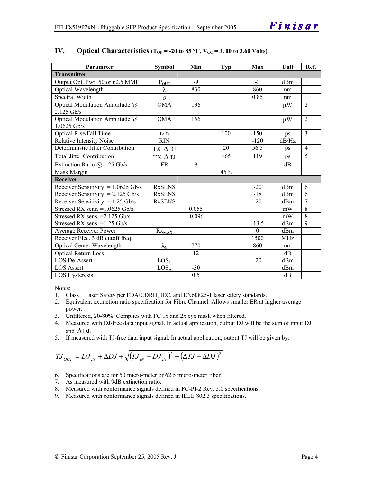| Parameter                            | <b>Symbol</b>             | Min   | Typ | Max      | Unit            | Ref.           |
|--------------------------------------|---------------------------|-------|-----|----------|-----------------|----------------|
| <b>Transmitter</b>                   |                           |       |     |          |                 |                |
| Output Opt. Pwr: 50 or 62.5 MMF      | $P_{OUT}$                 | $-9$  |     | $-3$     | d <sub>Bm</sub> | $\overline{1}$ |
| Optical Wavelength                   | λ                         | 830   |     | 860      | nm              |                |
| Spectral Width                       | $\sigma$                  |       |     | 0.85     | nm              |                |
| Optical Modulation Amplitude @       | <b>OMA</b>                | 196   |     |          | $\mu$ W         | $\overline{2}$ |
| 2.125 Gb/s                           |                           |       |     |          |                 |                |
| Optical Modulation Amplitude @       | <b>OMA</b>                | 156   |     |          | $\mu$ W         | $\overline{2}$ |
| $1.0625$ Gb/s                        |                           |       |     |          |                 |                |
| Optical Rise/Fall Time               | $t_r / t_f$               |       | 100 | 150      | ps              | $\overline{3}$ |
| <b>Relative Intensity Noise</b>      | <b>RIN</b>                |       |     | $-120$   | dB/Hz           |                |
| Deterministic Jitter Contribution    | $TX \Delta DI$            |       | 20  | 56.5     | ps              | $\overline{4}$ |
| <b>Total Jitter Contribution</b>     | TX ΔTJ                    |       | <65 | 119      | ps              | 5              |
| Extinction Ratio $@$ 1.25 Gb/s       | ER                        | 9     |     |          | dB              |                |
| Mask Margin                          |                           |       | 45% |          |                 |                |
| Receiver                             |                           |       |     |          |                 |                |
| Receiver Sensitivity = $1.0625$ Gb/s | <b>RxSENS</b>             |       |     | $-20$    | dBm             | 6              |
| Receiver Sensitivity = $2.125$ Gb/s  | <b>RxSENS</b>             |       |     | $-18$    | dBm             | 6              |
| Receiver Sensitivity = $1.25$ Gb/s   | <b>RxSENS</b>             |       |     | $-20$    | dBm             | $\overline{7}$ |
| Stressed RX sens. $=1.0625$ Gb/s     |                           | 0.055 |     |          | mW              | 8              |
| Stressed RX sens. = 2.125 Gb/s       |                           | 0.096 |     |          | mW              | $\overline{8}$ |
| Stressed RX sens. $=1.25$ Gb/s       |                           |       |     | $-13.5$  | dBm             | 9              |
| Average Receiver Power               | $Rx_{MAX}$                |       |     | $\Omega$ | dBm             |                |
| Receiver Elec. 3 dB cutoff freq.     |                           |       |     | 1500     | MH <sub>z</sub> |                |
| <b>Optical Center Wavelength</b>     | $\lambda_{\underline{C}}$ | 770   |     | 860      | nm              |                |
| <b>Optical Return Loss</b>           |                           | 12    |     |          | dB              |                |
| LOS De-Assert                        | LOS <sub>D</sub>          |       |     | $-20$    | dBm             |                |
| <b>LOS Assert</b>                    | LOS <sub>A</sub>          | $-30$ |     |          | dBm             |                |
| LOS Hysteresis                       |                           | 0.5   |     |          | dB              |                |

#### **IV.** Optical Characteristics ( $T_{OP}$  = -20 to 85 °C,  $V_{CC}$  = 3. 00 to 3.60 Volts)

Notes:

- 1. Class 1 Laser Safety per FDA/CDRH, IEC, and EN60825-1 laser safety standards.
- 2. Equivalent extinction ratio specification for Fibre Channel. Allows smaller ER at higher average power.
- 3. Unfiltered, 20-80%. Complies with FC 1x and 2x eye mask when filtered.
- 4. Measured with DJ-free data input signal. In actual application, output DJ will be the sum of input DJ and  $\Delta$  DJ.
- 5. If measured with TJ-free data input signal. In actual application, output TJ will be given by:

$$
T J_{OUT} = D J_{IN} + \Delta D J + \sqrt{(T J_{IN} - D J_{IN})^2 + (\Delta T J - \Delta D J)^2}
$$

- 6. Specifications are for 50 micro-meter or 62.5 micro-meter fiber
- 7. As measured with 9dB extinction ratio.
- 8. Measured with conformance signals defined in FC-PI-2 Rev. 5.0 specifications.
- 9. Measured with conformance signals defined in IEEE 802.3 specifications.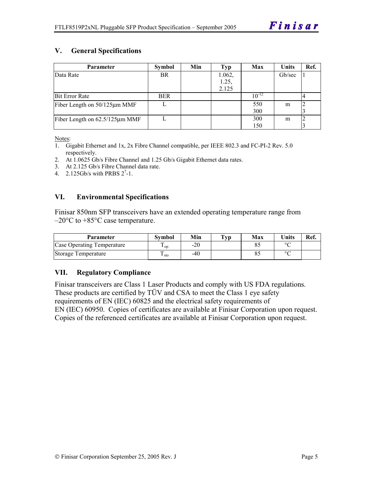# **V. General Specifications**

| <b>Parameter</b>               | Symbol     | Min | Typ    | Max        | <b>Units</b> | Ref. |
|--------------------------------|------------|-----|--------|------------|--------------|------|
| Data Rate                      | <b>BR</b>  |     | 1.062, |            | Gb/sec       |      |
|                                |            |     | 1.25,  |            |              |      |
|                                |            |     | 2.125  |            |              |      |
| <b>Bit Error Rate</b>          | <b>BER</b> |     |        | $10^{-12}$ |              |      |
| Fiber Length on 50/125µm MMF   |            |     |        | 550        | m            |      |
|                                |            |     |        | 300        |              |      |
| Fiber Length on 62.5/125µm MMF |            |     |        | 300        | m            |      |
|                                |            |     |        | 150        |              |      |

Notes:

- 1. Gigabit Ethernet and 1x, 2x Fibre Channel compatible, per IEEE 802.3 and FC-PI-2 Rev. 5.0 respectively.
- 2. At 1.0625 Gb/s Fibre Channel and 1.25 Gb/s Gigabit Ethernet data rates.
- 3. At 2.125 Gb/s Fibre Channel data rate.
- 4.  $2.125Gb/s$  with PRBS  $2^7-1$ .

#### **VI. Environmental Specifications**

Finisar 850nm SFP transceivers have an extended operating temperature range from  $-20^{\circ}$ C to  $+85^{\circ}$ C case temperature.

| <b>Parameter</b>           | Svmbol          | Min   | $\mathbf{T}_{\mathbf{V}\mathbf{p}}$ | Max | <b>Units</b> | Ref. |
|----------------------------|-----------------|-------|-------------------------------------|-----|--------------|------|
| Case Operating Temperature | $\mathbf{1}$ op | $-20$ |                                     |     | $\sim$       |      |
| Storage Temperature        | ⊥ sto           | -40   |                                     |     | $\circ$      |      |

#### **VII. Regulatory Compliance**

Finisar transceivers are Class 1 Laser Products and comply with US FDA regulations. These products are certified by TÜV and CSA to meet the Class 1 eye safety requirements of EN (IEC) 60825 and the electrical safety requirements of EN (IEC) 60950. Copies of certificates are available at Finisar Corporation upon request. Copies of the referenced certificates are available at Finisar Corporation upon request.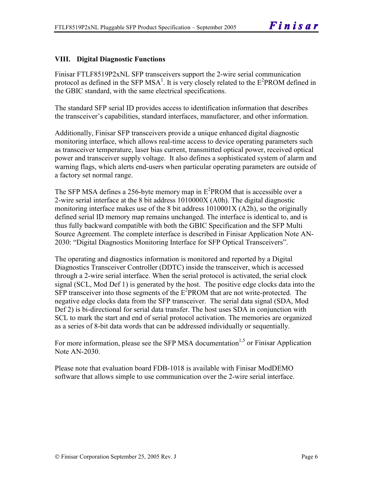# **VIII. Digital Diagnostic Functions**

Finisar FTLF8519P2xNL SFP transceivers support the 2-wire serial communication protocol as defined in the SFP MSA<sup>1</sup>. It is very closely related to the  $E^2$ PROM defined in the GBIC standard, with the same electrical specifications.

The standard SFP serial ID provides access to identification information that describes the transceiver's capabilities, standard interfaces, manufacturer, and other information.

Additionally, Finisar SFP transceivers provide a unique enhanced digital diagnostic monitoring interface, which allows real-time access to device operating parameters such as transceiver temperature, laser bias current, transmitted optical power, received optical power and transceiver supply voltage. It also defines a sophisticated system of alarm and warning flags, which alerts end-users when particular operating parameters are outside of a factory set normal range.

The SFP MSA defines a 256-byte memory map in  $E^2$ PROM that is accessible over a 2-wire serial interface at the 8 bit address 1010000X (A0h). The digital diagnostic monitoring interface makes use of the 8 bit address 1010001X (A2h), so the originally defined serial ID memory map remains unchanged. The interface is identical to, and is thus fully backward compatible with both the GBIC Specification and the SFP Multi Source Agreement. The complete interface is described in Finisar Application Note AN-2030: "Digital Diagnostics Monitoring Interface for SFP Optical Transceivers".

The operating and diagnostics information is monitored and reported by a Digital Diagnostics Transceiver Controller (DDTC) inside the transceiver, which is accessed through a 2-wire serial interface. When the serial protocol is activated, the serial clock signal (SCL, Mod Def 1) is generated by the host. The positive edge clocks data into the  $SFP$  transceiver into those segments of the  $E^2$ PROM that are not write-protected. The negative edge clocks data from the SFP transceiver. The serial data signal (SDA, Mod Def 2) is bi-directional for serial data transfer. The host uses SDA in conjunction with SCL to mark the start and end of serial protocol activation. The memories are organized as a series of 8-bit data words that can be addressed individually or sequentially.

For more information, please see the SFP MSA documentation<sup>1,5</sup> or Finisar Application Note AN-2030.

Please note that evaluation board FDB-1018 is available with Finisar ModDEMO software that allows simple to use communication over the 2-wire serial interface.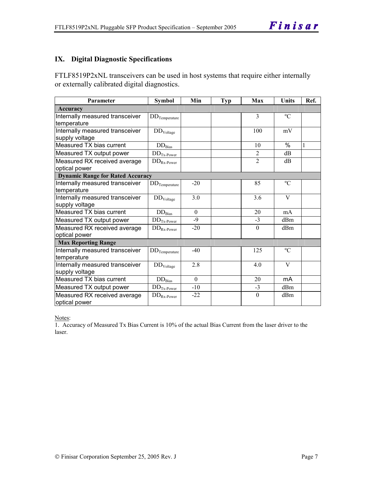# **IX. Digital Diagnostic Specifications**

FTLF8519P2xNL transceivers can be used in host systems that require either internally or externally calibrated digital diagnostics.

| Parameter                               | <b>Symbol</b>               | Min      | <b>Typ</b> | Max            | Units       | Ref. |
|-----------------------------------------|-----------------------------|----------|------------|----------------|-------------|------|
| Accuracy                                |                             |          |            |                |             |      |
| Internally measured transceiver         | $DD$ Temperature            |          |            | $\overline{3}$ | $\rm ^{o}C$ |      |
| temperature                             |                             |          |            |                |             |      |
| Internally measured transceiver         | DD <sub>Voltage</sub>       |          |            | 100            | mV          |      |
| supply voltage                          |                             |          |            |                |             |      |
| Measured TX bias current                | $\rm{DD}_{\rm{Bias}}$       |          |            | 10             | $\%$        | 1    |
| Measured TX output power                | $DDTx-Power$                |          |            | $\overline{2}$ | dB          |      |
| Measured RX received average            | $DD_{Rx\text{-}Power}$      |          |            | $\overline{2}$ | dB          |      |
| optical power                           |                             |          |            |                |             |      |
| <b>Dynamic Range for Rated Accuracy</b> |                             |          |            |                |             |      |
| Internally measured transceiver         | $DD$ Temperature            | $-20$    |            | 85             | $\rm ^{o}C$ |      |
| temperature                             |                             |          |            |                |             |      |
| Internally measured transceiver         | DD <sub>Voltage</sub>       | 3.0      |            | 3.6            | V           |      |
| supply voltage                          |                             |          |            |                |             |      |
| Measured TX bias current                | $DD_{\rm Bias}$             | $\theta$ |            | 20             | mA          |      |
| Measured TX output power                | $DDTx-Power$                | $-9$     |            | $-3$           | dBm         |      |
| Measured RX received average            | $\rm{DD}_{Rx\text{-}Power}$ | $-20$    |            | $\theta$       | dBm         |      |
| optical power                           |                             |          |            |                |             |      |
| <b>Max Reporting Range</b>              |                             |          |            |                |             |      |
| Internally measured transceiver         | $DD$ Temperature            | $-40$    |            | 125            | $\rm ^{o}C$ |      |
| temperature                             |                             |          |            |                |             |      |
| Internally measured transceiver         | DD <sub>Voltage</sub>       | 2.8      |            | 4.0            | V           |      |
| supply voltage                          |                             |          |            |                |             |      |
| Measured TX bias current                | $DD_{\rm Bias}$             | $\theta$ |            | 20             | mA          |      |
| Measured TX output power                | $DDTx-Power$                | $-10$    |            | $-3$           | dBm         |      |
| Measured RX received average            | $DD_{Rx\text{-}Power}$      | $-22$    |            | $\theta$       | dBm         |      |
| optical power                           |                             |          |            |                |             |      |

Notes:

1. Accuracy of Measured Tx Bias Current is 10% of the actual Bias Current from the laser driver to the laser.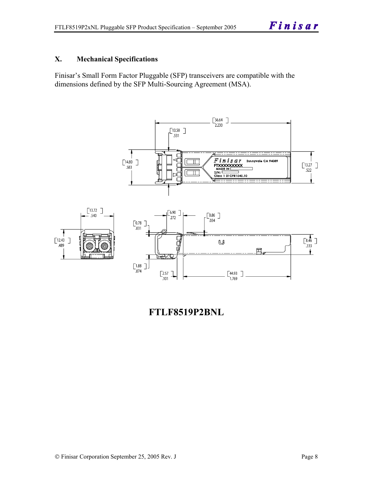### **X. Mechanical Specifications**

Finisar's Small Form Factor Pluggable (SFP) transceivers are compatible with the dimensions defined by the SFP Multi-Sourcing Agreement (MSA).



**FTLF8519P2BNL**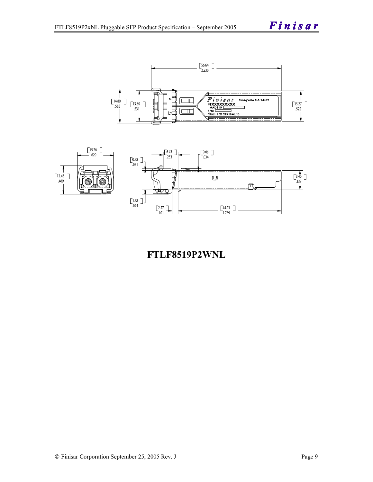Finisar





**FTLF8519P2WNL**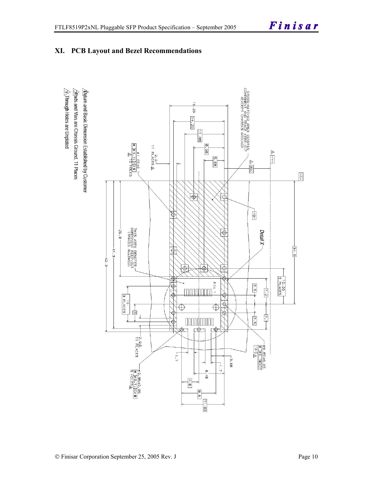

# **XI. PCB Layout and Bezel Recommendations**

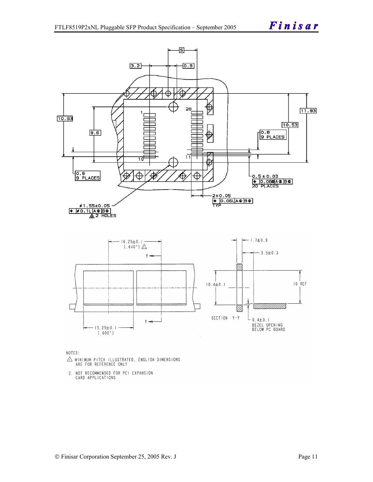

NOTES:

- $\triangle$  MINIMUM PITCH ILLUSTRATED, ENGLISH DIMENSIONS ARE FOR REFERENCE ONLY
- 2. NOT RECOMMENDED FOR PCI EXPANSION CARD APPLICATIONS